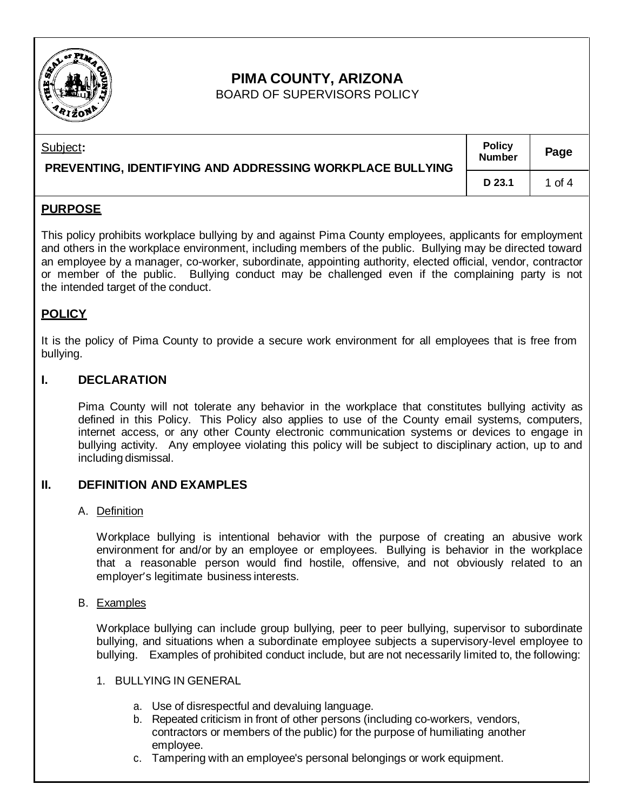

# **PIMA COUNTY, ARIZONA**

BOARD OF SUPERVISORS POLICY

| Subject:<br>PREVENTING, IDENTIFYING AND ADDRESSING WORKPLACE BULLYING | <b>Policy</b><br><b>Number</b> | Page   |
|-----------------------------------------------------------------------|--------------------------------|--------|
|                                                                       | D 23.1                         | 1 of 4 |

## **PURPOSE**

This policy prohibits workplace bullying by and against Pima County employees, applicants for employment and others in the workplace environment, including members of the public. Bullying may be directed toward an employee by a manager, co-worker, subordinate, appointing authority, elected official, vendor, contractor or member of the public. Bullying conduct may be challenged even if the complaining party is not the intended target of the conduct.

## **POLICY**

It is the policy of Pima County to provide a secure work environment for all employees that is free from bullying.

## **I. DECLARATION**

Pima County will not tolerate any behavior in the workplace that constitutes bullying activity as defined in this Policy. This Policy also applies to use of the County email systems, computers, internet access, or any other County electronic communication systems or devices to engage in bullying activity. Any employee violating this policy will be subject to disciplinary action, up to and including dismissal.

## **II. DEFINITION AND EXAMPLES**

#### A. Definition

Workplace bullying is intentional behavior with the purpose of creating an abusive work environment for and/or by an employee or employees. Bullying is behavior in the workplace that a reasonable person would find hostile, offensive, and not obviously related to an employer's legitimate business interests.

#### B. Examples

Workplace bullying can include group bullying, peer to peer bullying, supervisor to subordinate bullying, and situations when a subordinate employee subjects a supervisory-level employee to bullying. Examples of prohibited conduct include, but are not necessarily limited to, the following:

#### 1. BULLYING IN GENERAL

- a. Use of disrespectful and devaluing language.
- b. Repeated criticism in front of other persons (including co-workers, vendors, contractors or members of the public) for the purpose of humiliating another employee.
- c. Tampering with an employee's personal belongings or work equipment.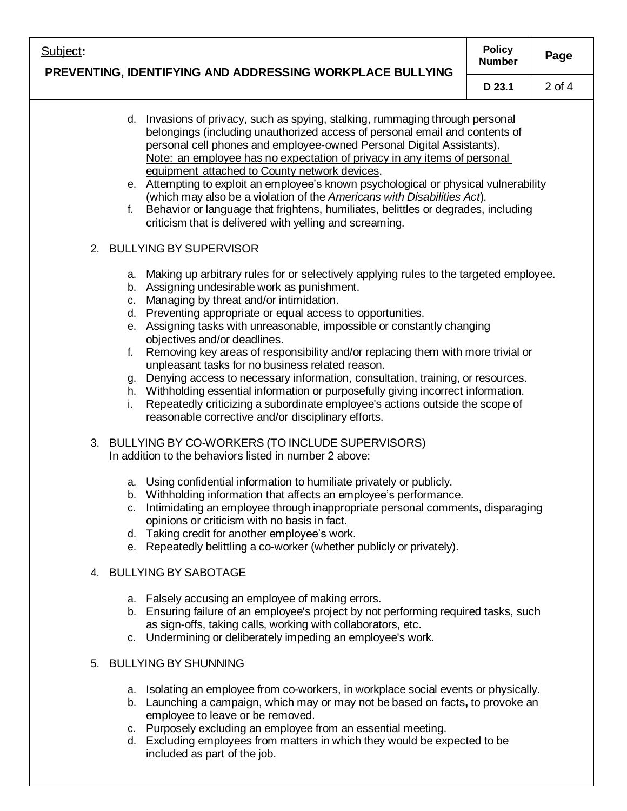| Subject:<br>PREVENTING, IDENTIFYING AND ADDRESSING WORKPLACE BULLYING                                                                                                                                                                                                                                                                                                                                                                                                                                                                                                                                                                                                                                                                                                                                                                | <b>Policy</b><br><b>Number</b> | Page       |
|--------------------------------------------------------------------------------------------------------------------------------------------------------------------------------------------------------------------------------------------------------------------------------------------------------------------------------------------------------------------------------------------------------------------------------------------------------------------------------------------------------------------------------------------------------------------------------------------------------------------------------------------------------------------------------------------------------------------------------------------------------------------------------------------------------------------------------------|--------------------------------|------------|
|                                                                                                                                                                                                                                                                                                                                                                                                                                                                                                                                                                                                                                                                                                                                                                                                                                      | D 23.1                         | $2$ of $4$ |
| d. Invasions of privacy, such as spying, stalking, rummaging through personal<br>belongings (including unauthorized access of personal email and contents of<br>personal cell phones and employee-owned Personal Digital Assistants).<br>Note: an employee has no expectation of privacy in any items of personal<br>equipment attached to County network devices.<br>e. Attempting to exploit an employee's known psychological or physical vulnerability<br>(which may also be a violation of the Americans with Disabilities Act).<br>Behavior or language that frightens, humiliates, belittles or degrades, including<br>f.<br>criticism that is delivered with yelling and screaming.                                                                                                                                          |                                |            |
| 2. BULLYING BY SUPERVISOR                                                                                                                                                                                                                                                                                                                                                                                                                                                                                                                                                                                                                                                                                                                                                                                                            |                                |            |
| a. Making up arbitrary rules for or selectively applying rules to the targeted employee.<br>b. Assigning undesirable work as punishment.<br>c. Managing by threat and/or intimidation.<br>d. Preventing appropriate or equal access to opportunities.<br>e. Assigning tasks with unreasonable, impossible or constantly changing<br>objectives and/or deadlines.<br>Removing key areas of responsibility and/or replacing them with more trivial or<br>f.<br>unpleasant tasks for no business related reason.<br>g. Denying access to necessary information, consultation, training, or resources.<br>h. Withholding essential information or purposefully giving incorrect information.<br>Repeatedly criticizing a subordinate employee's actions outside the scope of<br>i.<br>reasonable corrective and/or disciplinary efforts. |                                |            |
| 3. BULLYING BY CO-WORKERS (TO INCLUDE SUPERVISORS)<br>In addition to the behaviors listed in number 2 above:                                                                                                                                                                                                                                                                                                                                                                                                                                                                                                                                                                                                                                                                                                                         |                                |            |
| a. Using confidential information to humiliate privately or publicly.<br>b. Withholding information that affects an employee's performance.<br>Intimidating an employee through inappropriate personal comments, disparaging<br>C.<br>opinions or criticism with no basis in fact.<br>d. Taking credit for another employee's work.<br>e. Repeatedly belittling a co-worker (whether publicly or privately).                                                                                                                                                                                                                                                                                                                                                                                                                         |                                |            |
| 4. BULLYING BY SABOTAGE                                                                                                                                                                                                                                                                                                                                                                                                                                                                                                                                                                                                                                                                                                                                                                                                              |                                |            |
| a. Falsely accusing an employee of making errors.<br>b. Ensuring failure of an employee's project by not performing required tasks, such<br>as sign-offs, taking calls, working with collaborators, etc.<br>c. Undermining or deliberately impeding an employee's work.                                                                                                                                                                                                                                                                                                                                                                                                                                                                                                                                                              |                                |            |
| <b>BULLYING BY SHUNNING</b><br>5.                                                                                                                                                                                                                                                                                                                                                                                                                                                                                                                                                                                                                                                                                                                                                                                                    |                                |            |
| a. Isolating an employee from co-workers, in workplace social events or physically.<br>b. Launching a campaign, which may or may not be based on facts, to provoke an<br>employee to leave or be removed.<br>Purposely excluding an employee from an essential meeting.<br>C.                                                                                                                                                                                                                                                                                                                                                                                                                                                                                                                                                        |                                |            |

d. Excluding employees from matters in which they would be expected to be included as part of the job.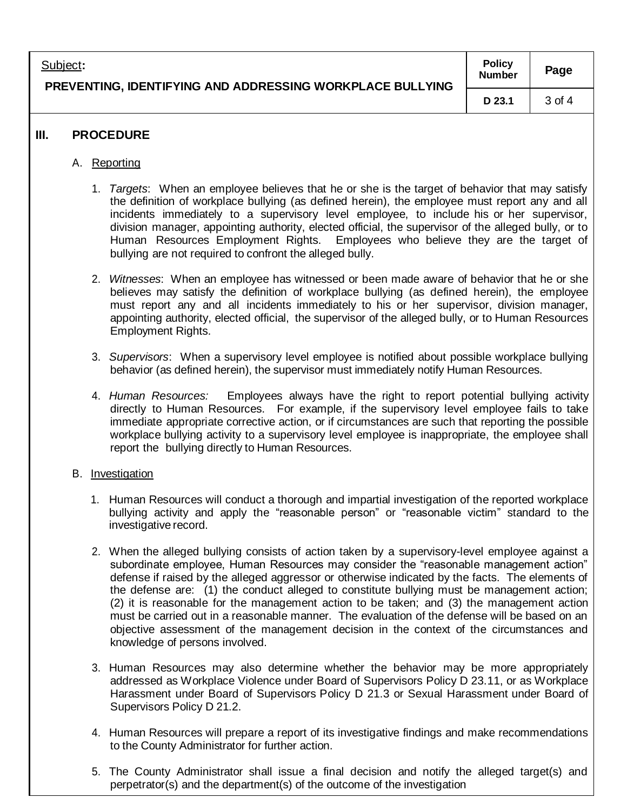| Subject:<br>PREVENTING, IDENTIFYING AND ADDRESSING WORKPLACE BULLYING | <b>Policy</b><br><b>Number</b> | Page   |
|-----------------------------------------------------------------------|--------------------------------|--------|
|                                                                       | D 23.1                         | 3 of 4 |
|                                                                       |                                |        |

## **III. PROCEDURE**

- A. Reporting
	- 1. *Targets*: When an employee believes that he or she is the target of behavior that may satisfy the definition of workplace bullying (as defined herein), the employee must report any and all incidents immediately to a supervisory level employee, to include his or her supervisor, division manager, appointing authority, elected official, the supervisor of the alleged bully, or to Human Resources Employment Rights. Employees who believe they are the target of bullying are not required to confront the alleged bully.
	- 2. *Witnesses*: When an employee has witnessed or been made aware of behavior that he or she believes may satisfy the definition of workplace bullying (as defined herein), the employee must report any and all incidents immediately to his or her supervisor, division manager, appointing authority, elected official, the supervisor of the alleged bully, or to Human Resources Employment Rights.
	- 3. *Supervisors*: When a supervisory level employee is notified about possible workplace bullying behavior (as defined herein), the supervisor must immediately notify Human Resources.
	- 4. *Human Resources:* Employees always have the right to report potential bullying activity directly to Human Resources. For example, if the supervisory level employee fails to take immediate appropriate corrective action, or if circumstances are such that reporting the possible workplace bullying activity to a supervisory level employee is inappropriate, the employee shall report the bullying directly to Human Resources.
- B. Investigation
	- 1. Human Resources will conduct a thorough and impartial investigation of the reported workplace bullying activity and apply the "reasonable person" or "reasonable victim" standard to the investigative record.
	- 2. When the alleged bullying consists of action taken by a supervisory-level employee against a subordinate employee, Human Resources may consider the "reasonable management action" defense if raised by the alleged aggressor or otherwise indicated by the facts. The elements of the defense are: (1) the conduct alleged to constitute bullying must be management action; (2) it is reasonable for the management action to be taken; and (3) the management action must be carried out in a reasonable manner. The evaluation of the defense will be based on an objective assessment of the management decision in the context of the circumstances and knowledge of persons involved.
	- 3. Human Resources may also determine whether the behavior may be more appropriately addressed as Workplace Violence under Board of Supervisors Policy D 23.11, or as Workplace Harassment under Board of Supervisors Policy D 21.3 or Sexual Harassment under Board of Supervisors Policy D 21.2.
	- 4. Human Resources will prepare a report of its investigative findings and make recommendations to the County Administrator for further action.
	- 5. The County Administrator shall issue a final decision and notify the alleged target(s) and perpetrator(s) and the department(s) of the outcome of the investigation